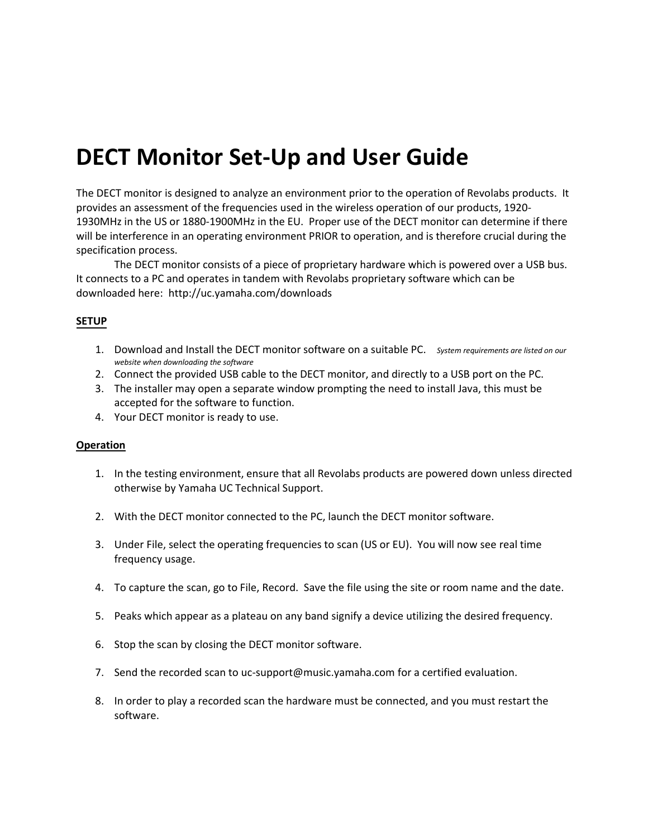## **DECT Monitor Set-Up and User Guide**

The DECT monitor is designed to analyze an environment prior to the operation of Revolabs products. It provides an assessment of the frequencies used in the wireless operation of our products, 1920- 1930MHz in the US or 1880-1900MHz in the EU. Proper use of the DECT monitor can determine if there will be interference in an operating environment PRIOR to operation, and is therefore crucial during the specification process.

The DECT monitor consists of a piece of proprietary hardware which is powered over a USB bus. It connects to a PC and operates in tandem with Revolabs proprietary software which can be downloaded here: http://[uc.yamaha.com](http://revolabs.com/downloads)/downloads

## **SETUP**

- 1. Download and Install the DECT monitor software on a suitable PC. *System requirements are listed on our website when downloading the software*
- 2. Connect the provided USB cable to the DECT monitor, and directly to a USB port on the PC.
- 3. The installer may open a separate window prompting the need to install Java, this must be accepted for the software to function.
- 4. Your DECT monitor is ready to use.

## **Operation**

- 1. In the testing environment, ensure that all Revolabs products are powered down unless directed otherwise by Yamaha UC Technical Support.
- 2. With the DECT monitor connected to the PC, launch the DECT monitor software.
- 3. Under File, select the operating frequencies to scan (US or EU). You will now see real time frequency usage.
- 4. To capture the scan, go to File, Record. Save the file using the site or room name and the date.
- 5. Peaks which appear as a plateau on any band signify a device utilizing the desired frequency.
- 6. Stop the scan by closing the DECT monitor software.
- 7. Send the recorded scan to [uc-support@music.yamaha.com](mailto:support@revolabs.com) for a certified evaluation.
- 8. In order to play a recorded scan the hardware must be connected, and you must restart the software.